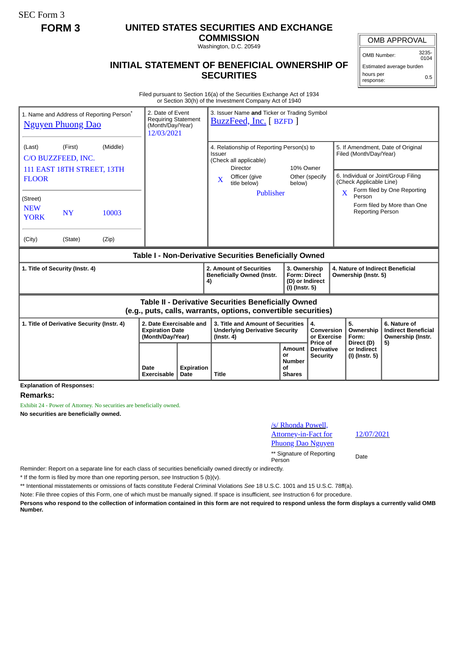SEC Form 3

## **FORM 3 UNITED STATES SECURITIES AND EXCHANGE**

**COMMISSION** Washington, D.C. 20549

## **INITIAL STATEMENT OF BENEFICIAL OWNERSHIP OF SECURITIES**

OMB APPROVAL

OMB Number: 3235-  $0104$ 

Estimated average burden hours per response: 0.5

Filed pursuant to Section 16(a) of the Securities Exchange Act of 1934 or Section 30(h) of the Investment Company Act of 1940

| 1. Name and Address of Reporting Person <sup>®</sup><br><b>Nguyen Phuong Dao</b>                                      | 2. Date of Event<br><b>Requiring Statement</b><br>(Month/Day/Year)<br>12/03/2021 |                           | 3. Issuer Name and Ticker or Trading Symbol<br>BuzzFeed, Inc. [ BZFD ]                                                                                   |                                                                          |                                             |                                                                                                                               |                                                                       |
|-----------------------------------------------------------------------------------------------------------------------|----------------------------------------------------------------------------------|---------------------------|----------------------------------------------------------------------------------------------------------------------------------------------------------|--------------------------------------------------------------------------|---------------------------------------------|-------------------------------------------------------------------------------------------------------------------------------|-----------------------------------------------------------------------|
| (Middle)<br>(Last)<br>(First)<br>C/O BUZZFEED, INC.<br>111 EAST 18TH STREET, 13TH<br><b>FLOOR</b>                     |                                                                                  |                           | 4. Relationship of Reporting Person(s) to<br><b>Issuer</b><br>(Check all applicable)<br><b>Director</b><br>Officer (give<br>$\mathbf{X}$<br>title below) | 10% Owner<br>below)                                                      | Other (specify)                             | 5. If Amendment, Date of Original<br>Filed (Month/Day/Year)<br>6. Individual or Joint/Group Filing<br>(Check Applicable Line) |                                                                       |
| (Street)<br><b>NEW</b><br><b>NY</b><br>10003<br><b>YORK</b><br>(City)<br>(State)<br>(Zip)                             |                                                                                  |                           | Publisher                                                                                                                                                |                                                                          |                                             | $\overline{\mathbf{X}}$<br>Person<br><b>Reporting Person</b>                                                                  | Form filed by One Reporting<br>Form filed by More than One            |
| Table I - Non-Derivative Securities Beneficially Owned                                                                |                                                                                  |                           |                                                                                                                                                          |                                                                          |                                             |                                                                                                                               |                                                                       |
| 1. Title of Security (Instr. 4)                                                                                       |                                                                                  |                           | 2. Amount of Securities<br><b>Beneficially Owned (Instr.</b><br>4)                                                                                       | 3. Ownership<br><b>Form: Direct</b><br>(D) or Indirect<br>(I) (Instr. 5) |                                             | 4. Nature of Indirect Beneficial<br>Ownership (Instr. 5)                                                                      |                                                                       |
| Table II - Derivative Securities Beneficially Owned<br>(e.g., puts, calls, warrants, options, convertible securities) |                                                                                  |                           |                                                                                                                                                          |                                                                          |                                             |                                                                                                                               |                                                                       |
| 1. Title of Derivative Security (Instr. 4)                                                                            | 2. Date Exercisable and<br><b>Expiration Date</b><br>(Month/Day/Year)            |                           | 3. Title and Amount of Securities<br><b>Underlying Derivative Security</b><br>$($ lnstr. 4 $)$                                                           |                                                                          | 4.<br>Conversion<br>or Exercise<br>Price of | 5.<br>Ownership<br>Form:<br>Direct (D)                                                                                        | 6. Nature of<br><b>Indirect Beneficial</b><br>Ownership (Instr.<br>5) |
|                                                                                                                       | Date<br>Exercisable                                                              | <b>Expiration</b><br>Date | <b>Title</b>                                                                                                                                             | Amount<br>or<br><b>Number</b><br>Οf<br><b>Shares</b>                     | <b>Derivative</b><br><b>Security</b>        | or Indirect<br>(I) (Instr. 5)                                                                                                 |                                                                       |

**Explanation of Responses:**

## **Remarks:**

Exhibit 24 - Power of Attorney. No securities are beneficially owned. **No securities are beneficially owned.**



\*\* Signature of Reporting Person Date

Reminder: Report on a separate line for each class of securities beneficially owned directly or indirectly.

\* If the form is filed by more than one reporting person, *see* Instruction 5 (b)(v).

\*\* Intentional misstatements or omissions of facts constitute Federal Criminal Violations *See* 18 U.S.C. 1001 and 15 U.S.C. 78ff(a).

Note: File three copies of this Form, one of which must be manually signed. If space is insufficient, *see* Instruction 6 for procedure.

**Persons who respond to the collection of information contained in this form are not required to respond unless the form displays a currently valid OMB Number.**

12/07/2021